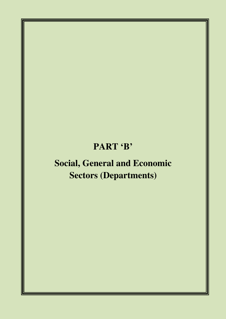## **PART 'B'**

# **Social, General and Economic Sectors (Departments)**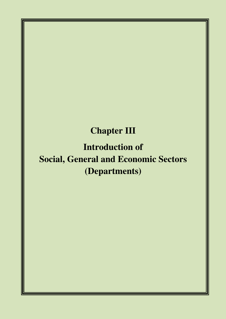## **Chapter III**

**Introduction of Social, General and Economic Sectors (Departments)**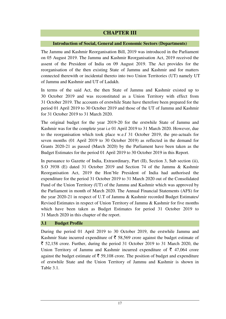### **CHAPTER III**

#### **Introduction of Social, General and Economic Sectors (Departments)**

The Jammu and Kashmir Reorganisation Bill, 2019 was introduced in the Parliament on 05 August 2019. The Jammu and Kashmir Reorganisation Act, 2019 received the assent of the President of India on 09 August 2019. The Act provides for the reorganisation of the then existing State of Jammu and Kashmir and for matters connected therewith or incidental thereto into two Union Territories (UT) namely UT of Jammu and Kashmir and UT of Ladakh.

In terms of the said Act, the then State of Jammu and Kashmir existed up to 30 October 2019 and was reconstituted as a Union Territory with effect from 31 October 2019. The accounts of erstwhile State have therefore been prepared for the period 01 April 2019 to 30 October 2019 and those of the UT of Jammu and Kashmir for 31 October 2019 to 31 March 2020.

The original budget for the year 2019-20 for the erstwhile State of Jammu and Kashmir was for the complete year i.e 01 April 2019 to 31 March 2020. However, due to the reorganisation which took place w.e.f 31 October 2019, the pre-actuals for seven months (01 April 2019 to 30 October 2019) as reflected in the demand for Grants 2020-21 as passed (March 2020) by the Parliament have been taken as the Budget Estimates for the period 01 April 2019 to 30 October 2019 in this Report.

In pursuance to Gazette of India, Extraordinary, Part (II), Section 3, Sub section (ii), S.O 3938 (E) dated 31 October 2019 and Section 74 of the Jammu & Kashmir Reorganisation Act, 2019 the Hon'ble President of India had authorised the expenditure for the period 31 October 2019 to 31 March 2020 out of the Consolidated Fund of the Union Territory (UT) of the Jammu and Kashmir which was approved by the Parliament in month of March 2020. The Annual Financial Statements (AFS) for the year 2020-21 in respect of U.T of Jammu & Kashmir recorded Budget Estimates/ Revised Estimates in respect of Union Territory of Jammu & Kashmir for five months which have been taken as Budget Estimates for period 31 October 2019 to 31 March 2020 in this chapter of the report.

#### **3.1 Budget Profile**

During the period 01 April 2019 to 30 October 2019, the erstwhile Jammu and Kashmir State incurred expenditure of  $\bar{\tau}$  58,569 crore against the budget estimate of  $\bar{\xi}$  52,158 crore. Further, during the period 31 October 2019 to 31 March 2020, the Union Territory of Jammu and Kashmir incurred expenditure of  $\bar{\tau}$  47,064 crore against the budget estimate of  $\bar{\xi}$  59,108 crore. The position of budget and expenditure of erstwhile State and the Union Territory of Jammu and Kashmir is shown in Table 3.1.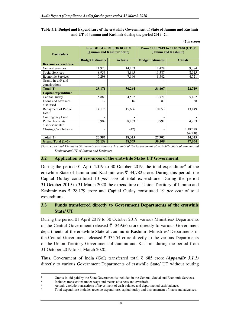**Table 3.1: Budget and Expenditure of the erstwhile Government of State of Jammu and Kashmir and UT of Jammu and Kashmir during the period 2019- 20.** 

| <b>Particulars</b>                                   | From 01.04.2019 to 30.10.2019<br>(Jammu and Kashmir State) |                | From 31.10.2019 to 31.03.2020 (UT of<br><b>Jammu and Kashmir</b> ) |                     |  |
|------------------------------------------------------|------------------------------------------------------------|----------------|--------------------------------------------------------------------|---------------------|--|
|                                                      | <b>Budget Estimates</b>                                    | <b>Actuals</b> | <b>Budget Estimates</b>                                            | <b>Actuals</b>      |  |
| <b>Revenue expenditure</b>                           |                                                            |                |                                                                    |                     |  |
| <b>General Services</b>                              | 11,920                                                     | 14,153         | 11,478                                                             | 9,384               |  |
| Social Services                                      | 8,953                                                      | 8,895          | 11,387                                                             | 8,615               |  |
| <b>Economic Services</b>                             | 7,298                                                      | 7,196          | 8,542                                                              | 4,721               |  |
| Grants-in-aid <sup>1</sup> and<br>contributions      |                                                            |                |                                                                    |                     |  |
| Total $(1)$                                          | 28,171                                                     | 30,244         | 31,407                                                             | 22,719              |  |
| <b>Capital expenditure</b>                           |                                                            |                |                                                                    |                     |  |
| Capital Outlay                                       | 5,889                                                      | 4,522          | 13,771                                                             | 5,422               |  |
| Loans and advances<br>disbursed                      | 12                                                         | 16             | 87                                                                 | 38                  |  |
| Repayment of Public<br>Debt <sup>2</sup>             | 14,176                                                     | 15,666         | 10,053                                                             | 13,149              |  |
| Contingency Fund                                     |                                                            |                |                                                                    |                     |  |
| <b>Public Accounts</b><br>disbursements <sup>3</sup> | 3,909                                                      | 8,163          | 3,791                                                              | 4,253               |  |
| Closing Cash balance                                 |                                                            | (42)           | -                                                                  | 1,482.28<br>(42.08) |  |
| Total $(2)$                                          | 23,987                                                     | 28,325         | 27,702                                                             | 24,345              |  |
| Grand Total $(1+2)$                                  | 52,158                                                     | 58,569         | 59,108                                                             | 47,064              |  |

**(**` **in crore)**

*(Source: Annual Financial Statements and Finance Accounts of the Government of erstwhile State of Jammu and Kashmir and UT of Jammu and Kashmir)* 

#### **3.2 Application of resources of the erstwhile State/ UT Government**

During the period 01 April 2019 to 30 October 2019, the total expenditure<sup>4</sup> of the erstwhile State of Jammu and Kashmir was  $\bar{\tau}$  34,782 crore. During this period, the Capital Outlay constituted 13 *per cent* of total expenditure. During the period 31 October 2019 to 31 March 2020 the expenditure of Union Territory of Jammu and Kashmir was  $\bar{\tau}$  28,179 crore and Capital Outlay constituted 19 *per cent* of total expenditure.

#### **3.3 Funds transferred directly to Government Departments of the erstwhile State/ UT**

During the period 01 April 2019 to 30 October 2019, various Ministries/ Departments of the Central Government released  $\bar{\tau}$  349.66 crore directly to various Government departments of the erstwhile State of Jammu & Kashmir. Ministries/ Departments of the Central Government released  $\bar{\tau}$  335.54 crore directly to the various Departments of the Union Territory Government of Jammu and Kashmir during the period from 31 October 2019 to 31 March 2020.

Thus, Government of India (GoI) transferred total  $\bar{\tau}$  685 crore *(Appendix 3.1.1)* directly to various Government Departments of erstwhile State/ UT without routing

<sup>1</sup> Grants-in-aid paid by the State Government is included in the General, Social and Economic Services.

 $\overline{2}$ Includes transactions under ways and means advances and overdraft.

<sup>3</sup> Actuals exclude transactions of investment of cash balance and departmental cash balance.

<sup>4</sup> Total expenditure includes revenue expenditure, capital outlay and disbursement of loans and advances.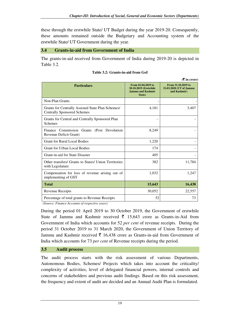these through the erstwhile State/ UT Budget during the year 2019-20. Consequently, these amounts remained outside the Budgetary and Accounting system of the erstwhile State/ UT Government during the year.

#### **3.4 Grants-in-aid from Government of India**

The grants-in-aid received from Government of India during 2019-20 is depicted in Table 3.2.

|                                                                                         |                                                                                    | $(3\overline{5})$ in crore)                                   |
|-----------------------------------------------------------------------------------------|------------------------------------------------------------------------------------|---------------------------------------------------------------|
| <b>Particulars</b>                                                                      | From 01.04.2019 to<br>30.10.2019 (Erstwhile)<br><b>Jammu and Kashmir</b><br>State) | From 31.10.2019 to<br>31.03.2020 (UT of Jammu<br>and Kashmir) |
| Non-Plan Grants                                                                         |                                                                                    |                                                               |
| Grants for Centrally Assisted State Plan Schemes/<br><b>Centrally Sponsored Schemes</b> | 4,181                                                                              | 3,407                                                         |
| Grants for Central and Centrally Sponsored Plan<br><b>Schemes</b>                       |                                                                                    |                                                               |
| Finance Commission Grants (Post Devolution<br>Revenue Deficit Grant)                    | 8,249                                                                              |                                                               |
| <b>Grant for Rural Local Bodies</b>                                                     | 1,220                                                                              |                                                               |
| <b>Grant for Urban Local Bodies</b>                                                     | 174                                                                                |                                                               |
| Grant-in-aid for State Disaster                                                         | 405                                                                                |                                                               |
| Other transfers/ Grants to States/ Union Territories<br>with Legislature                | 382                                                                                | 11,784                                                        |
| Compensation for loss of revenue arising out of<br>implementing of GST                  | 1,032                                                                              | 1,247                                                         |
| <b>Total</b>                                                                            | 15,643                                                                             | 16,438                                                        |
| Revenue Receipts                                                                        | 30,052                                                                             | 22,557                                                        |
| Percentage of total grants to Revenue Receipts                                          | 52                                                                                 | 73                                                            |

 *(Source: Finance Accounts of respective years)* 

During the period 01 April 2019 to 30 October 2019, the Government of erstwhile State of Jammu and Kashmir received  $\bar{\tau}$  15,643 crore as Grants-in-Aid from Government of India which accounts for 52 *per cent* of revenue receipts. During the period 31 October 2019 to 31 March 2020, the Government of Union Territory of Jammu and Kashmir received  $\bar{\tau}$  16,438 crore as Grants-in-aid from Government of India which accounts for 73 *per cent* of Revenue receipts during the period.

#### **3.5 Audit process**

The audit process starts with the risk assessment of various Departments, Autonomous Bodies, Schemes/ Projects which takes into account the criticality/ complexity of activities, level of delegated financial powers, internal controls and concerns of stakeholders and previous audit findings. Based on this risk assessment, the frequency and extent of audit are decided and an Annual Audit Plan is formulated.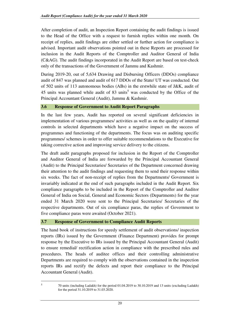After completion of audit, an Inspection Report containing the audit findings is issued to the Head of the Office with a request to furnish replies within one month. On receipt of replies, audit findings are either settled or further action for compliance is advised. Important audit observations pointed out in these Reports are processed for inclusion in the Audit Reports of the Comptroller and Auditor General of India (C&AG). The audit findings incorporated in the Audit Report are based on test-check only of the transactions of the Government of Jammu and Kashmir.

During 2019-20, out of 5,634 Drawing and Disbursing Officers (DDOs) compliance audit of 847 was planned and audit of 617 DDOs of the State/ UT was conducted. Out of 502 units of 113 autonomous bodies (ABs) in the erstwhile state of J&K, audit of  $45$  units was planned while audit of  $83$  units<sup>5</sup> was conducted by the Office of the Principal Accountant General (Audit), Jammu & Kashmir.

#### **3.6 Response of Government to Audit Report Paragraphs**

In the last few years, Audit has reported on several significant deficiencies in implementation of various programmes/ activities as well as on the quality of internal controls in selected departments which have a negative impact on the success of programmes and functioning of the departments. The focus was on auditing specific programmes/ schemes in order to offer suitable recommendations to the Executive for taking corrective action and improving service delivery to the citizens.

The draft audit paragraphs proposed for inclusion in the Report of the Comptroller and Auditor General of India are forwarded by the Principal Accountant General (Audit) to the Principal Secretaries/ Secretaries of the Department concerned drawing their attention to the audit findings and requesting them to send their response within six weeks. The fact of non-receipt of replies from the Departments/ Government is invariably indicated at the end of such paragraphs included in the Audit Report. Six compliance paragraphs to be included in the Report of the Comptroller and Auditor General of India on Social, General and Economic Sectors (Departments) for the year ended 31 March 2020 were sent to the Principal Secretaries/ Secretaries of the respective departments. Out of six compliance paras, the replies of Government to five compliance paras were awaited (October 2021).

#### **3.7 Response of Government to Compliance Audit Reports**

The hand book of instructions for speedy settlement of audit observations/ inspection reports (IRs) issued by the Government (Finance Department) provides for prompt response by the Executive to IRs issued by the Principal Accountant General (Audit) to ensure remedial/ rectification action in compliance with the prescribed rules and procedures. The heads of auditee offices and their controlling administrative Departments are required to comply with the observations contained in the inspection reports IRs and rectify the defects and report their compliance to the Principal Accountant General (Audit).

5

<sup>70</sup> units (including Ladakh) for the period 01.04.2019 to 30.10.2019 and 13 units (excluding Ladakh) for the period 31.10.2019 to 31.03.2020.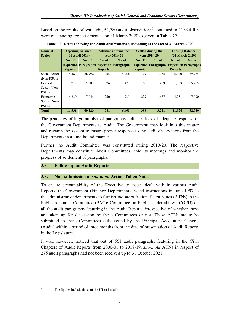Based on the results of test audit, 52,780 audit observations<sup>6</sup> contained in 11,924 IRs were outstanding for settlement as on 31 March 2020 as given in Table 3.3.

| Name of            | <b>Opening Balance</b> |        | <b>Additions during the</b> |                                                    | <b>Settled during the</b> |                                                    | <b>Closing Balance</b>     |        |
|--------------------|------------------------|--------|-----------------------------|----------------------------------------------------|---------------------------|----------------------------------------------------|----------------------------|--------|
| <b>Sector</b>      | $(01$ April 2019)      |        | vear 2019-20                |                                                    | vear 2019-20              |                                                    | $(31 \text{ March } 2020)$ |        |
|                    | No. of                 | No. of | No. of                      | No. of                                             | No. of                    | No. of                                             | No. of                     | No. of |
|                    |                        |        |                             | <b>Inspection Paragraphs Inspection Paragraphs</b> |                           | <b>Inspection Paragraphs Inspection Paragraphs</b> |                            |        |
|                    | <b>Reports</b>         |        | <b>Reports</b>              |                                                    | <b>Reports</b>            |                                                    | <b>Reports</b>             |        |
| Social Sector      | 5.584                  | 26,792 | 455                         | 4,258                                              | 99                        | 1.065                                              | 5.940                      | 29.985 |
| $(Non-PSUs)$       |                        |        |                             |                                                    |                           |                                                    |                            |        |
| General            | 1.717                  | 5,687  | 76                          | 477                                                | 60                        | 459                                                | 1,733                      | 5,705  |
| Sector (Non-       |                        |        |                             |                                                    |                           |                                                    |                            |        |
| PSU <sub>s</sub> ) |                        |        |                             |                                                    |                           |                                                    |                            |        |
| Economic           | 4.230                  | 17.044 | 250                         | 1,733                                              | 229                       | 1,687                                              | 4,251                      | 17.090 |
| Sector (Non-       |                        |        |                             |                                                    |                           |                                                    |                            |        |
| PSU <sub>s</sub> ) |                        |        |                             |                                                    |                           |                                                    |                            |        |
| <b>Total</b>       | 11,531                 | 49,523 | 781                         | 6,468                                              | 388                       | 3,211                                              | 11,924                     | 52,780 |

**Table 3.3: Details showing the Audit observations outstanding at the end of 31 March 2020** 

The pendency of large number of paragraphs indicates lack of adequate response of the Government Departments to Audit. The Government may look into this matter and revamp the system to ensure proper response to the audit observations from the Departments in a time-bound manner.

Further, no Audit Committee was constituted during 2019-20. The respective Departments may constitute Audit Committees, hold its meetings and monitor the progress of settlement of paragraphs.

## **3.8 Follow-up on Audit Reports**

## **3.8.1 Non-submission of** *suo-motu* **Action Taken Notes**

To ensure accountability of the Executive to issues dealt with in various Audit Reports, the Government (Finance Department) issued instructions in June 1997 to the administrative departments to furnish *suo-motu* Action Taken Notes (ATNs) to the Public Accounts Committee (PAC)/ Committee on Public Undertakings (COPU) on all the audit paragraphs featuring in the Audit Reports, irrespective of whether these are taken up for discussion by these Committees or not. These ATNs are to be submitted to these Committees duly vetted by the Principal Accountant General (Audit) within a period of three months from the date of presentation of Audit Reports in the Legislature.

It was, however, noticed that out of 561 audit paragraphs featuring in the Civil Chapters of Audit Reports from 2000-01 to 2018-19, *suo-motu* ATNs in respect of 275 audit paragraphs had not been received up to 31 October 2021.

 6

The figures include those of the UT of Ladakh.